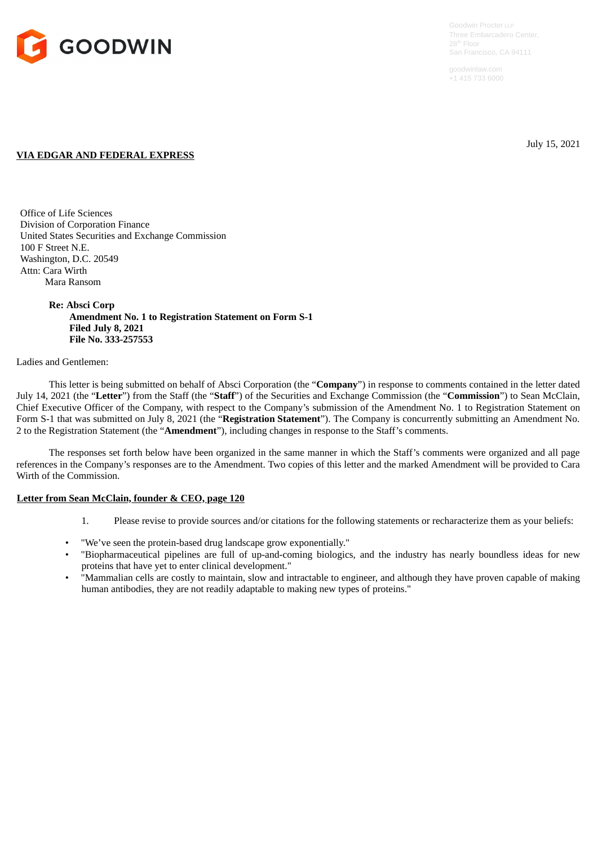

+1 415 733 6000

July 15, 2021

## **VIA EDGAR AND FEDERAL EXPRESS**

Office of Life Sciences Division of Corporation Finance United States Securities and Exchange Commission 100 F Street N.E. Washington, D.C. 20549 Attn: Cara Wirth Mara Ransom

> **Re: Absci Corp Amendment No. 1 to Registration Statement on Form S-1 Filed July 8, 2021 File No. 333-257553**

## Ladies and Gentlemen:

This letter is being submitted on behalf of Absci Corporation (the "**Company**") in response to comments contained in the letter dated July 14, 2021 (the "**Letter**") from the Staff (the "**Staff**") of the Securities and Exchange Commission (the "**Commission**") to Sean McClain, Chief Executive Officer of the Company, with respect to the Company's submission of the Amendment No. 1 to Registration Statement on Form S-1 that was submitted on July 8, 2021 (the "**Registration Statement**"). The Company is concurrently submitting an Amendment No. 2 to the Registration Statement (the "**Amendment**"), including changes in response to the Staff's comments.

The responses set forth below have been organized in the same manner in which the Staff's comments were organized and all page references in the Company's responses are to the Amendment. Two copies of this letter and the marked Amendment will be provided to Cara Wirth of the Commission.

## **Letter from Sean McClain, founder & CEO, page 120**

- 1. Please revise to provide sources and/or citations for the following statements or recharacterize them as your beliefs:
- "We've seen the protein-based drug landscape grow exponentially."
- "Biopharmaceutical pipelines are full of up-and-coming biologics, and the industry has nearly boundless ideas for new proteins that have yet to enter clinical development."
- "Mammalian cells are costly to maintain, slow and intractable to engineer, and although they have proven capable of making human antibodies, they are not readily adaptable to making new types of proteins."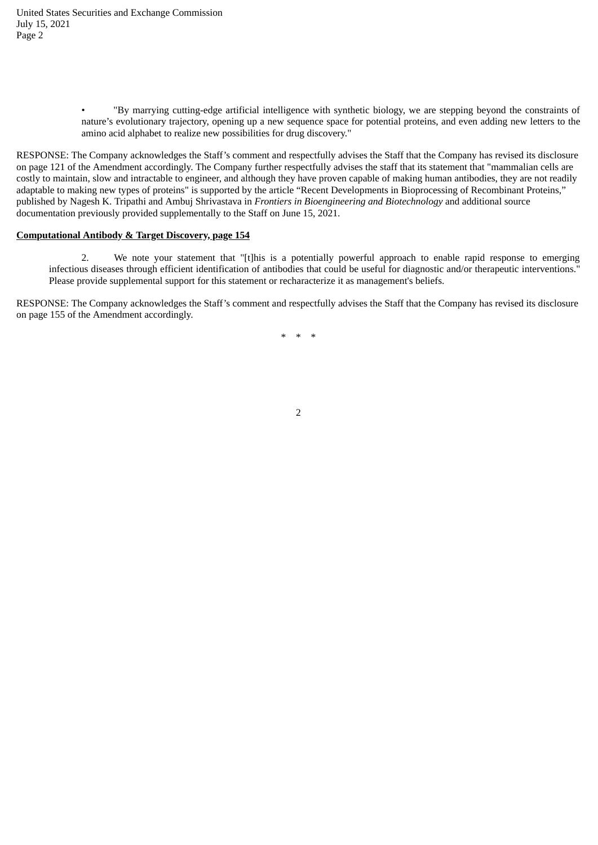• "By marrying cutting-edge artificial intelligence with synthetic biology, we are stepping beyond the constraints of nature's evolutionary trajectory, opening up a new sequence space for potential proteins, and even adding new letters to the amino acid alphabet to realize new possibilities for drug discovery."

RESPONSE: The Company acknowledges the Staff's comment and respectfully advises the Staff that the Company has revised its disclosure on page 121 of the Amendment accordingly. The Company further respectfully advises the staff that its statement that "mammalian cells are costly to maintain, slow and intractable to engineer, and although they have proven capable of making human antibodies, they are not readily adaptable to making new types of proteins" is supported by the article "Recent Developments in Bioprocessing of Recombinant Proteins," published by Nagesh K. Tripathi and Ambuj Shrivastava in *Frontiers in Bioengineering and Biotechnology* and additional source documentation previously provided supplementally to the Staff on June 15, 2021.

## **Computational Antibody & Target Discovery, page 154**

2. We note your statement that "[t]his is a potentially powerful approach to enable rapid response to emerging infectious diseases through efficient identification of antibodies that could be useful for diagnostic and/or therapeutic interventions." Please provide supplemental support for this statement or recharacterize it as management's beliefs.

RESPONSE: The Company acknowledges the Staff's comment and respectfully advises the Staff that the Company has revised its disclosure on page 155 of the Amendment accordingly.

\* \* \*

2